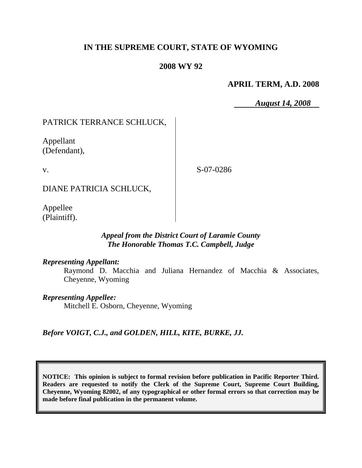# **IN THE SUPREME COURT, STATE OF WYOMING**

## **2008 WY 92**

## **APRIL TERM, A.D. 2008**

*August 14, 2008*

# PATRICK TERRANCE SCHLUCK,

Appellant (Defendant),

v.

S-07-0286

DIANE PATRICIA SCHLUCK,

Appellee (Plaintiff).

### *Appeal from the District Court of Laramie County The Honorable Thomas T.C. Campbell, Judge*

### *Representing Appellant:*

Raymond D. Macchia and Juliana Hernandez of Macchia & Associates, Cheyenne, Wyoming

### *Representing Appellee:*

Mitchell E. Osborn, Cheyenne, Wyoming

## *Before VOIGT, C.J., and GOLDEN, HILL, KITE, BURKE, JJ.*

**NOTICE: This opinion is subject to formal revision before publication in Pacific Reporter Third. Readers are requested to notify the Clerk of the Supreme Court, Supreme Court Building, Cheyenne, Wyoming 82002, of any typographical or other formal errors so that correction may be made before final publication in the permanent volume.**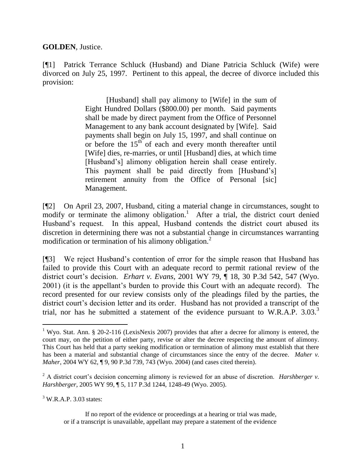**GOLDEN**, Justice.

[¶1] Patrick Terrance Schluck (Husband) and Diane Patricia Schluck (Wife) were divorced on July 25, 1997. Pertinent to this appeal, the decree of divorce included this provision:

> [Husband] shall pay alimony to [Wife] in the sum of Eight Hundred Dollars (\$800.00) per month. Said payments shall be made by direct payment from the Office of Personnel Management to any bank account designated by [Wife]. Said payments shall begin on July 15, 1997, and shall continue on or before the  $15<sup>th</sup>$  of each and every month thereafter until [Wife] dies, re-marries, or until [Husband] dies, at which time [Husband's] alimony obligation herein shall cease entirely. This payment shall be paid directly from [Husband's] retirement annuity from the Office of Personal [sic] Management.

[¶2] On April 23, 2007, Husband, citing a material change in circumstances, sought to modify or terminate the alimony obligation.<sup>1</sup> After a trial, the district court denied Husband's request. In this appeal, Husband contends the district court abused its discretion in determining there was not a substantial change in circumstances warranting modification or termination of his alimony obligation.<sup>2</sup>

[¶3] We reject Husband's contention of error for the simple reason that Husband has failed to provide this Court with an adequate record to permit rational review of the district court's decision. *Erhart v. Evans*, 2001 WY 79, ¶ 18, 30 P.3d 542, 547 (Wyo. 2001) (it is the appellant's burden to provide this Court with an adequate record). The record presented for our review consists only of the pleadings filed by the parties, the district court's decision letter and its order. Husband has not provided a transcript of the trial, nor has he submitted a statement of the evidence pursuant to W.R.A.P.  $3.03^{3}$ 

 $3$  W.R.A.P. 3.03 states:

 $\overline{a}$ <sup>1</sup> Wyo. Stat. Ann. § 20-2-116 (LexisNexis 2007) provides that after a decree for alimony is entered, the court may, on the petition of either party, revise or alter the decree respecting the amount of alimony. This Court has held that a party seeking modification or termination of alimony must establish that there has been a material and substantial change of circumstances since the entry of the decree. *Maher v. Maher*, 2004 WY 62, ¶ 9, 90 P.3d 739, 743 (Wyo. 2004) (and cases cited therein).

<sup>2</sup> A district court's decision concerning alimony is reviewed for an abuse of discretion. *Harshberger v. Harshberger*, 2005 WY 99, ¶ 5, 117 P.3d 1244, 1248-49 (Wyo. 2005).

If no report of the evidence or proceedings at a hearing or trial was made, or if a transcript is unavailable, appellant may prepare a statement of the evidence